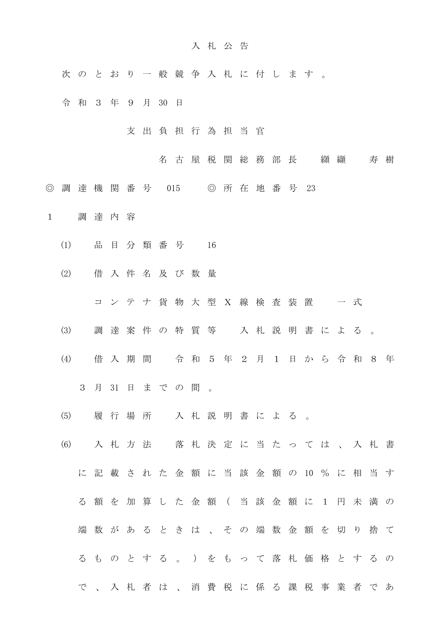## 入 札 公 告

- 次 の と お り 一 般 競 争 入 札 に 付 し ま す 。
- 令和3 年 9 月 30 日
	- 支 出 負 担 行 為 担 当 官
		- 名古屋税関総務部長 纐纈 寿樹
- ◎ 調 達 機 関 番 号 015 ◎ 所 在 地 番 号 23
- 1 調 達 内 容
	- (1) 品 目 分 類 番 号 16
	- (2) 借 入 件 名 及 び 数 量
		- コ ン テ ナ 貨 物 大 型 X 線 検 査 装 置 一 式
	- (3) 調 達 案 件 の 特 質 等 入 札 説 明 書 に よ る 。
	- (4) 借 入 期 間 令 和 5 年 2 月 1 日 か ら 令 和 8 年 3 月 31 日 ま で の 間 。
	- (5) 履 行 場 所 入 札 説 明 書 に よ る 。
	- (6) 入 札 方 法 落 札 決 定 に 当 た っ て は 、 入 札 書 に 記 載 さ れ た 金 額 に 当 該 金 額 の 10 % に 相 当 す る 額 を 加 算 し た 金 額 ( 当 該 金 額 に 1 円 未 満 の 端 数 が あ る と き は 、 そ の 端 数 金 額 を 切 り 捨 て る も の と す る 。 ) を も っ て 落 札 価 格 と す る の で 、 入 札 者 は 、 消 費 税 に 係 る 課 税 事 業 者 で あ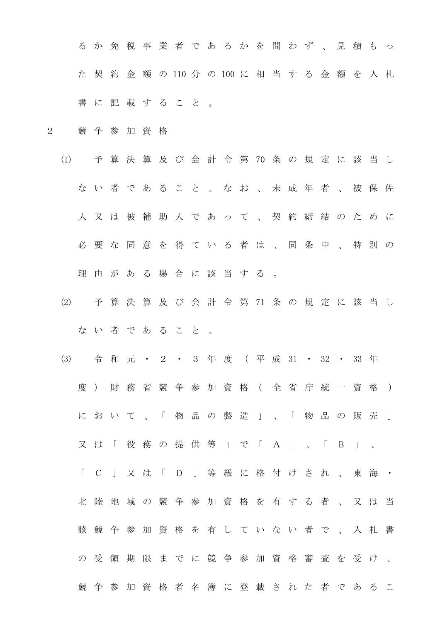る か 免 税 事 業 者 で あ る か を 問 わ ず 、 見 積 も っ た 契 約 金 額 の 110 分 の 100 に 相 当 す る 金 額 を 入 札 書 に 記 載 す る こ と 。

- 2 競 争 参 加 資 格
	- (1) 予 算 決 算 及 び 会 計 令 第 70 条 の 規 定 に 該 当 し な い 者 で あ る こ と 。 な お 、 未 成 年 者 、 被 保 佐 人 又 は 被 補 助 人 で あ っ て 、 契 約 締 結 の た め に 必 要 な 同 意 を 得 て い る 者 は 、 同 条 中 、 特 別 の 理 由 が あ る 場 合 に 該 当 す る 。
	- (2) 予 算 決 算 及 び 会 計 令 第 71 条 の 規 定 に 該 当 し な い 者 で あ る こ と 。
	- (3) 令 和 元 ・ 2 ・ 3 年 度 ( 平 成 31 ・ 32 ・ 33 年 度) 財 務 省 競 争 参 加 資 格 ( 全 省 庁 統 一 資 格 ) に お い て 、 「 物 品 の 製 造 」 、 「 物 品 の 販 売 」 又 は 「 役 務 の 提 供 等 」 で 「 A 」 、 「 B 」 、 「 C 」 又 は 「 D 」 等 級 に 格 付 け さ れ 、 東 海 ・ 北 陸 地 域 の 競 争 参 加 資 格 を 有 す る 者 、 又 は 当 該 競 争 参 加 資 格 を 有 し て い な い 者 で 、 入 札 書 の 受 領 期 限 ま で に 競 争 参 加 資 格 審 査 を 受 け 、 競 争 参 加 資 格 者 名 簿 に 登 載 さ れ た 者 で あ る こ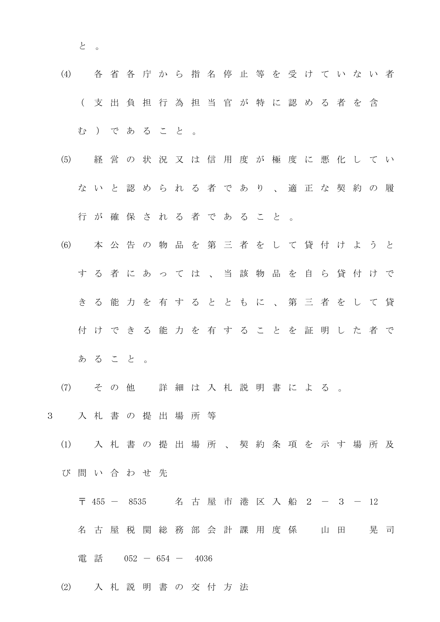と 。

- (4) 各 省 各 庁 か ら 指 名 停 止 等 を 受 け て い な い 者 ( 支 出 負 担 行 為 担 当 官 が 特 に 認 め る 者 を 含 む ) で あ る こ と 。
- (5) 経 営 の 状 況 又 は 信 用 度 が 極 度 に 悪 化 し て い な い と 認 め ら れ る 者 で あ り 、 適 正 な 契 約 の 履 行 が 確 保 さ れ る 者 で あ る こ と 。
- (6) 本 公 告 の 物 品 を 第 三 者 を し て 貸 付 け よ う と す る 者 に あ っ て は 、 当 該 物 品 を 自 ら 貸 付 け で き る 能 力 を 有 す る と と も に 、 第 三 者 を し て 貸 付 け で き る 能 力 を 有 す る こ と を 証 明 し た 者 で あ る こ と 。
- (7) そ の 他 詳 細 は 入 札 説 明 書 に よ る 。
- 3 入 札 書 の 提 出 場 所 等
	- (1) 入 札 書 の 提 出 場 所 、 契 約 条 項 を 示 す 場 所 及 び 問 い 合 わ せ 先
		- 〒 455 8535 名 古 屋 市 港 区 入 船 2 3 12
		- 名 古 屋 税 関 総 務 部 会 計 課 用 度 係 山 田 晃 司
		- 電話 052 654 4036
	- (2) 入 札 説 明 書 の 交 付 方 法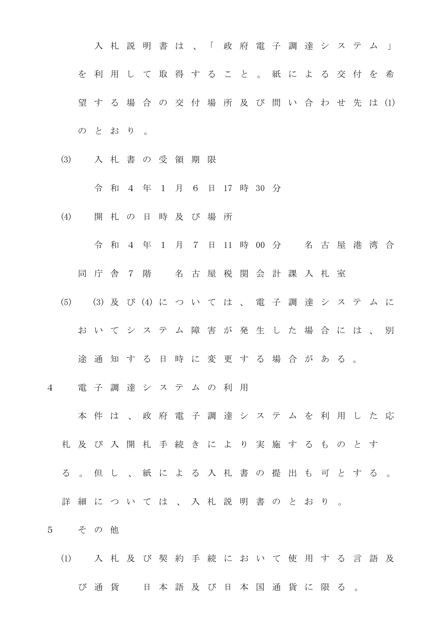入 札 説 明 書 は 、「 政 府 電 子 調 達 シ ス テ ム 」 を 利 用 し て 取 得 す る こ と 。 紙 に よ る 交 付 を 希 望 す る 場 合 の 交 付 場 所 及 び 問 い 合 わ せ 先 は (1) のとおり。

(3) 入 札 書 の 受 領 期 限

令 和 4 年 1 月 6 日 17 時 30 分

- (4) 開 札 の 日 時 及 び 場 所
	- 令 和 4 年 1 月 7 日 11 時 00 分 名 古 屋 港 湾 合

同 庁 舎 7 階 名 古 屋 税 関 会 計 課 入 札 室

(5) (3) 及 び (4) に つ い て は 、 電 子 調 達 シ ス テ ム に

お い て シ ス テ ム 障 害 が 発 生 し た 場 合 に は 、 別

途通知する日時に変更する場合がある。

4 電 子 調 達 シ ス テ ム の 利 用

本 件 は 、 政 府 電 子 調 達 シ ス テ ム を 利 用 し た 応

札 及 び 入 開 札 手 続 き に よ り 実 施 す る も の と す

- る 。 但 し 、 紙 に よ る 入 札 書 の 提 出 も 可 と す る 。
- 詳 細 に つ い て は 、 入 札 説 明 書 の と お り 。
- 5 そ の 他
	- (1) 入札及び 契 約 手 続 に お い て 使 用 す る 言 語 及

び通貨 日 本 語 及 び 日 本 国 通 貨 に 限 る 。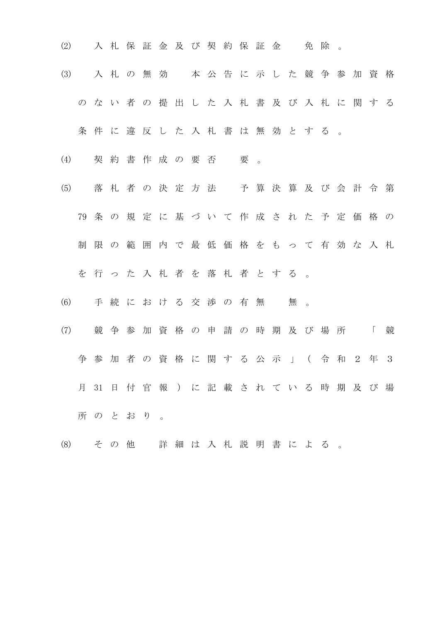- (2) 入札保証金及び契約保証金 免除。
- (3) 入 札 の 無 効 本 公 告 に 示 し た 競 争 参 加 資 格 の な い 者 の 提 出 し た 入 札 書 及 び 入 札 に 関 す る

条件に違反した入札書は無効とする。

- (4) 契約書作成の要否 要。
- (5) 落 札 者 の 決 定 方 法 予 算 決 算 及 び 会 計 令 第 79 条 の 規 定 に 基 づ い て 作 成 さ れ た 予 定 価 格 の 制 限 の 範 囲 内 で 最 低 価 格 を も っ て 有 効 な 入 札
	- を 行 っ た 入 札 者 を 落 札 者 と す る 。
- (6) 手続における交渉の有無 無。
- (7) 競 争 参 加 資 格 の 申 請 の 時 期 及 び 場 所 「 競 争 参 加 者 の 資 格 に 関 す る 公 示 」 ( 令 和 2 年 3 月 31 日 付 官 報 ) に 記 載 さ れ て い る 時 期 及 び 場 所 の と お り 。
- (8) そ の 他 詳 細 は 入 札 説 明 書 に よ る 。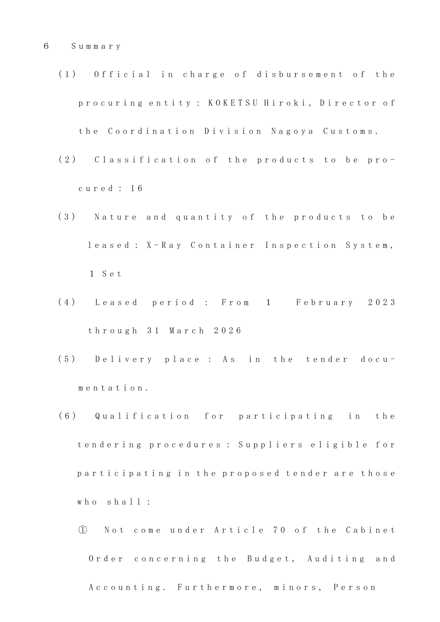- (1) Official in charge of disbursement of the p r o c u r i n g e n t i t y : K O K E T S U H i r o k i , D i r e c t o r of the Coordination Division Nagoya Customs.
- (2) Classification of the products to be proc u r e d : 1 6
- (3) Nature and quantity of the products to be leased: X-Ray Container Inspection System, 1 S e t
- (4) Leased period: From 1 February 2023 t h r o u g h 3 1 M a r c h 2 0 2 6
- (5) Delivery place: As in the tender docum e n t a t i o n .
- (6) Qualification for participating in the t endering procedures : Suppliers eligible for participating in the proposed tender are those who shall:
	- ① N o t c o m e u n d e r A r t i c l e 7 0 o f t h e C a b i n e t Order concerning the Budget, Auditing and A c c o u n t i n g . Furthermore, minors, Person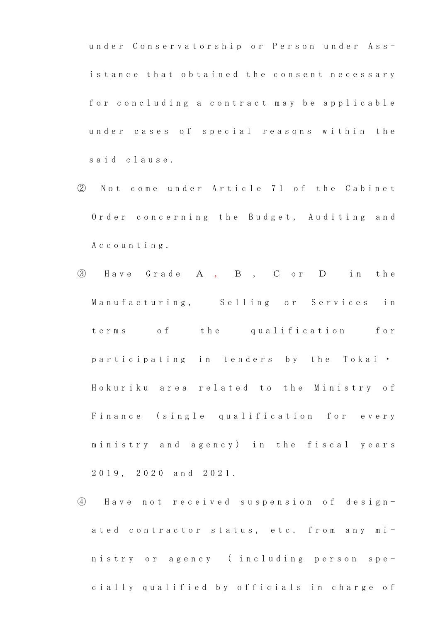under Conservatorship or Person under Assistance that obtained the consent necessary for concluding a contract may be applicable under cases of special reasons within the said clause.

- 2 Not come under Article 71 of the Cabinet Order concerning the Budget, Auditing and A c c o u n t i n g .
- ③ H a v e G r a d e A , B , C o r D i n t h e Manufacturing, Selling or Services in terms of the qualification for participating in tenders by the Tokai . Hokuriku area related to the Ministry of Finance (single qualification for every ministry and agency) in the fiscal years 2 0 1 9 , 2 0 2 0 a n d 2 0 2 1 .
- ④ H a v e n o t r e c e i v e d s u s p e n s i o n o f d e s i g n ated contractor status, etc. from any ministry or agency (including person specially qualified by officials in charge of